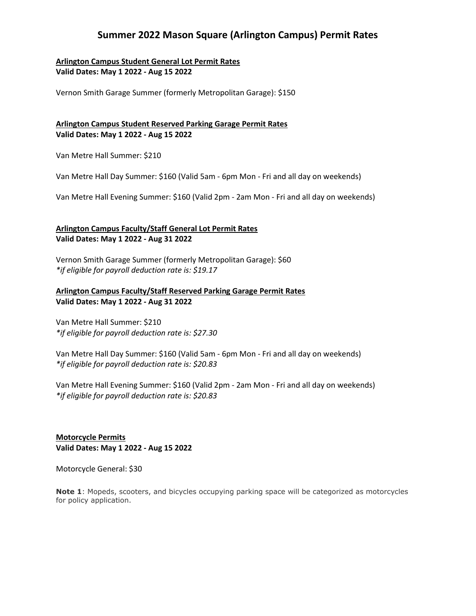## **Summer 2022 Mason Square (Arlington Campus) Permit Rates**

**Arlington Campus Student General Lot Permit Rates Valid Dates: May 1 2022 - Aug 15 2022**

Vernon Smith Garage Summer (formerly Metropolitan Garage): \$150

#### **Arlington Campus Student Reserved Parking Garage Permit Rates Valid Dates: May 1 2022 - Aug 15 2022**

Van Metre Hall Summer: \$210

Van Metre Hall Day Summer: \$160 (Valid 5am - 6pm Mon - Fri and all day on weekends)

Van Metre Hall Evening Summer: \$160 (Valid 2pm - 2am Mon - Fri and all day on weekends)

#### **Arlington Campus Faculty/Staff General Lot Permit Rates Valid Dates: May 1 2022 - Aug 31 2022**

Vernon Smith Garage Summer (formerly Metropolitan Garage): \$60 *\*if eligible for payroll deduction rate is: \$19.17*

#### **Arlington Campus Faculty/Staff Reserved Parking Garage Permit Rates Valid Dates: May 1 2022 - Aug 31 2022**

Van Metre Hall Summer: \$210 *\*if eligible for payroll deduction rate is: \$27.30*

Van Metre Hall Day Summer: \$160 (Valid 5am - 6pm Mon - Fri and all day on weekends) *\*if eligible for payroll deduction rate is: \$20.83*

Van Metre Hall Evening Summer: \$160 (Valid 2pm - 2am Mon - Fri and all day on weekends) *\*if eligible for payroll deduction rate is: \$20.83*

**Motorcycle Permits Valid Dates: May 1 2022 - Aug 15 2022**

Motorcycle General: \$30

**Note 1**: Mopeds, scooters, and bicycles occupying parking space will be categorized as motorcycles for policy application.